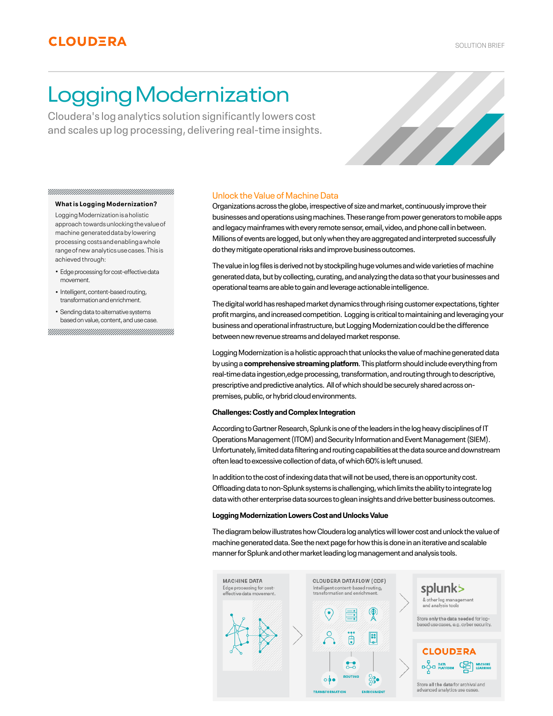# Logging Modernization

Cloudera's log analytics solution significantly lowers cost and scales up log processing, delivering real-time insights.



#### **What is Logging Modernization?**

Logging Modernization is a holistic approach towards unlocking the value of machine generated data by lowering processing costs and enabling a whole range of new analytics use cases. This is achieved through:

- Edge processing for cost-effective data movement.
- Intelligent, content-based routing, transformation and enrichment.
- Sending data to alternative systems •based on value, content, and use case.

#### Unlock the Value of Machine Data

Organizations across the globe, irrespective of size and market, continuously improve their businesses and operations using machines. These range from power generators to mobile apps and legacy mainframes with every remote sensor, email, video, and phone call in between. Millions of events are logged, but only when they are aggregated and interpreted successfully do they mitigate operational risks and improve business outcomes.

The value in log files is derived not by stockpiling huge volumes and wide varieties of machine generated data, but by collecting, curating, and analyzing the data so that your businesses and operational teams are able to gain and leverage actionable intelligence.

The digital world has reshaped market dynamics through rising customer expectations, tighter profit margins, and increased competition. Logging is critical to maintaining and leveraging your business and operational infrastructure, but Logging Modernization could be the difference between new revenue streams and delayed market response.

Logging Modernization is a holistic approach that unlocks the value of machine generated data by using a **comprehensive streaming platform**. This platform should include everything from real-time data ingestion,edge processing, transformation, and routing through to descriptive, prescriptive and predictive analytics. All of which should be securely shared across onpremises, public, or hybrid cloud environments.

#### **Challenges: Costly and Complex Integration**

According to Gartner Research, Splunk is one of the leaders in the log heavy disciplines of IT Operations Management (ITOM) and Security Information and Event Management (SIEM). Unfortunately, limited data filtering and routing capabilities at the data source and downstream often lead to excessive collection of data, of which 60% is left unused.

In addition to the cost of indexing data that will not be used, there is an opportunity cost. Offloading data to non-Splunk systems is challenging, which limits the ability to integrate log data with other enterprise data sources to glean insights and drive better business outcomes.

#### **Logging Modernization Lowers Cost and Unlocks Value**

The diagram below illustrates how Cloudera log analytics will lower cost and unlock the value of machine generated data. See the next page for how this is done in an iterative and scalable manner for Splunk and other market leading log management and analysis tools.

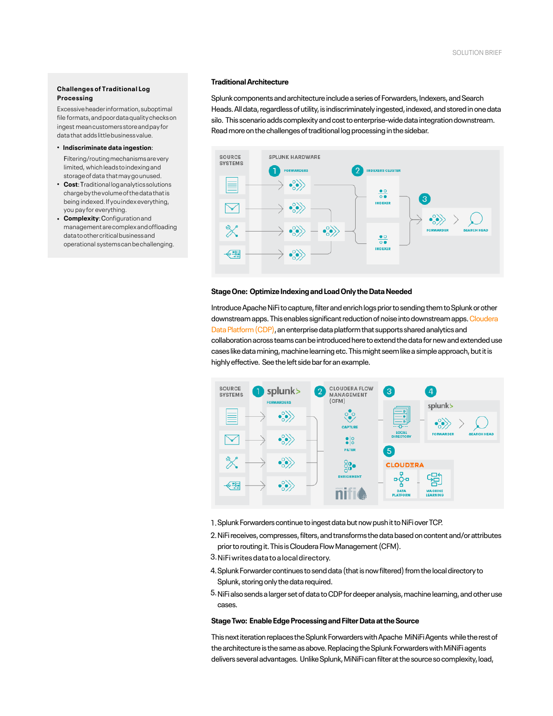# **Challenges of Traditional Log Processing**

Excessive header information, suboptimal file formats, and poor data quality checks on ingest mean customers store and pay for data that adds little business value.

#### • **Indiscriminate data ingestion**:

Filtering/routing mechanisms are very limited, which leads to indexing and storage of data that may go unused.

- **Cost**: Traditional log analytics solutions charge by the volume of the data that is being indexed. If you index everything, you pay for everything.
- **Complexity**: Configuration and management are complex and offloading data to other critical business and operational systems can be challenging.

#### **Traditional Architecture**

Splunk components and architecture include a series of Forwarders, Indexers, and Search Heads. All data, regardless of utility, is indiscriminately ingested, indexed, and stored in one data silo. This scenario adds complexity and cost to enterprise-wide data integration downstream. Read more on the challenges of traditional log processing in the sidebar.



#### **Stage One: Optimize Indexing and Load Only the Data Needed**

Introduce Apache NiFi to capture, filter and enrich logs prior to sending them to Splunk or other [downstream apps. This enables significant reduction of noise into downstream apps. Cloudera](https://www.cloudera.com/products/cloudera-data-platform.html) Data Platform (CDP), an enterprise data platform that supports shared analytics and collaboration across teams can be introduced here to extend the data for new and extended use cases like data mining, machine learning etc. This might seem like a simple approach, but it is highly effective. See the left side bar for an example.



- 1.Splunk Forwarders continue to ingest data but now push it to NiFi over TCP.
- NiFi receives, compresses, filters, and transforms the data based on content and/or attributes 2. prior to routing it. This is Cloudera Flow Management (CFM).
- NiFi writes data to a local directory. 3.
- 4. Splunk Forwarder continues to send data (that is now filtered) from the local directory to Splunk, storing only the data required.
- 5. NiFi also sends a larger set of data to CDP for deeper analysis, machine learning, and other use cases.

# **Stage Two: Enable Edge Processing and Filter Data at the Source**

This next iteration replaces the Splunk Forwarders with Apache MiNiFi Agents while the rest of the architecture is the same as above. Replacing the Splunk Forwarders with MiNiFi agents delivers several advantages. Unlike Splunk, MiNiFi can filter at the source so complexity, load,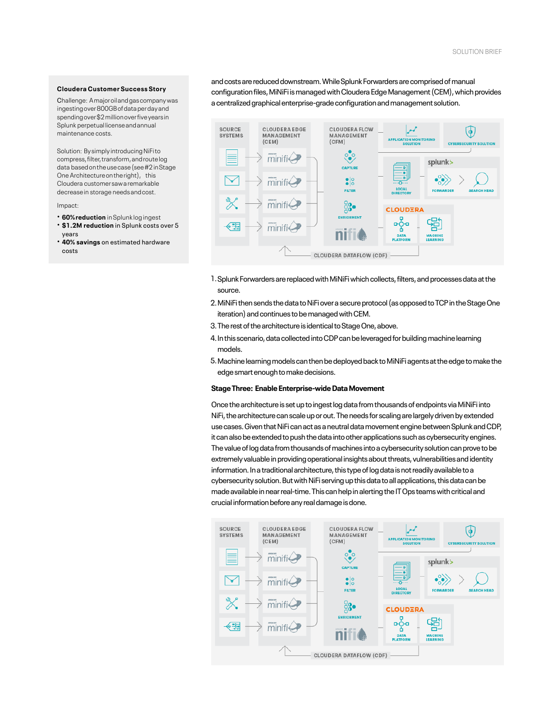#### **Cloudera Customer Success Story**

Challenge: A major oil and gas company was ingesting over 800GB of data per day and spending over \$2 million over five years in Splunk perpetual license and annual maintenance costs.

Solution: By simply introducing NiFi to compress, filter, transform, and route log data based on the use case (see #2 in Stage One Architecture on the right), this Cloudera customer saw a remarkable decrease in storage needs and cost.

#### Impact:

- **60%reduction** inSplunk logingest • **\$1.2M reduction** in Splunk costs over 5
- years
- **40% savings** on estimated hardware costs

and costs are reduced downstream. While Splunk Forwarders are comprised of manual configuration files, MiNiFi is managed with Cloudera Edge Management (CEM), which provides a centralized graphical enterprise-grade configuration and management solution.



- 1. Splunk Forwarders are replaced with MiNiFi which collects, filters, and processes data at the source.
- MiNiFi then sends the data to NiFi over a secure protocol (as opposed to TCP in the Stage One 2. iteration) and continues to be managed with CEM.
- 3.The rest of the architecture is identical to Stage One, above.
- 4. In this scenario, data collected into CDP can be leveraged for building machine learning models.
- Machine learning models can then be deployed back to MiNiFi agents at the edge to make the 5. edge smart enough to make decisions.

#### **Stage Three: Enable Enterprise-wide Data Movement**

Once the architecture is set up to ingest log data from thousands of endpoints via MiNiFi into NiFi, the architecture can scale up or out. The needs for scaling are largely driven by extended use cases. Given that NiFi can act as a neutral data movement engine between Splunk and CDP, it can also be extended to push the data into other applications such as cybersecurity engines. The value of log data from thousands of machines into a cybersecurity solution can prove to be extremely valuable in providing operational insights about threats, vulnerabilities and identity information. In a traditional architecture, this type of log data is not readily available to a cybersecurity solution. But with NiFi serving up this data to all applications, this data can be made available in near real-time. This can help in alerting the IT Ops teams with critical and crucial information before any real damage is done.